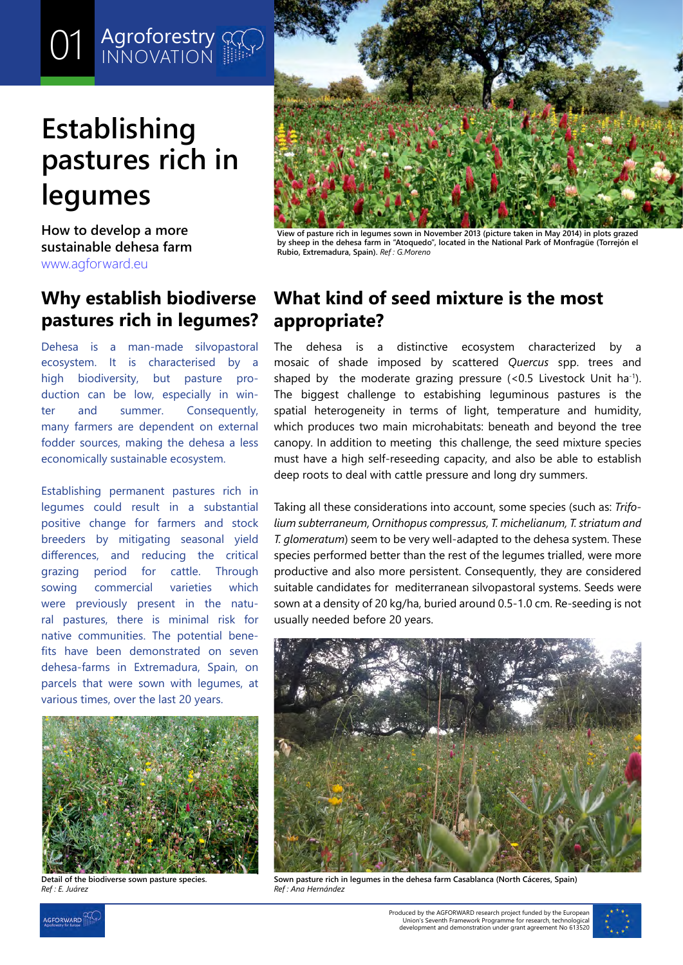#### 01 *Agroforest* O1 Agroforestry

# **Establishing pastures rich in legumes**

**How to develop a more sustainable dehesa farm** [www.agforward.eu](https://www.agforward.eu/index.php/en/)

## **Why establish biodiverse pastures rich in legumes?**

Dehesa is a man-made silvopastoral ecosystem. It is characterised by a high biodiversity, but pasture production can be low, especially in winter and summer. Consequently, many farmers are dependent on external fodder sources, making the dehesa a less economically sustainable ecosystem.

Establishing permanent pastures rich in legumes could result in a substantial positive change for farmers and stock breeders by mitigating seasonal yield differences, and reducing the critical grazing period for cattle. Through sowing commercial varieties which were previously present in the natural pastures, there is minimal risk for native communities. The potential benefits have been demonstrated on seven dehesa-farms in Extremadura, Spain, on parcels that were sown with legumes, at various times, over the last 20 years.



**Detail of the biodiverse sown pasture species.** *Ref : E. Juárez*



**View of pasture rich in legumes sown in November 2013 (picture taken in May 2014) in plots grazed by sheep in the dehesa farm in "Atoquedo", located in the National Park of Monfragüe (Torrejón el Rubio, Extremadura, Spain).** *Ref : G.Moreno*

## **What kind of seed mixture is the most appropriate?**

The dehesa is a distinctive ecosystem characterized by a mosaic of shade imposed by scattered *Quercus* spp. trees and shaped by the moderate grazing pressure  $\left($  < 0.5 Livestock Unit ha<sup>-1</sup>). The biggest challenge to estabishing leguminous pastures is the spatial heterogeneity in terms of light, temperature and humidity, which produces two main microhabitats: beneath and beyond the tree canopy. In addition to meeting this challenge, the seed mixture species must have a high self-reseeding capacity, and also be able to establish deep roots to deal with cattle pressure and long dry summers.

Taking all these considerations into account, some species (such as: *Trifolium subterraneum, Ornithopus compressus, T. michelianum, T. striatum and T. glomeratum*) seem to be very well-adapted to the dehesa system. These species performed better than the rest of the legumes trialled, were more productive and also more persistent. Consequently, they are considered suitable candidates for mediterranean silvopastoral systems. Seeds were sown at a density of 20 kg/ha, buried around 0.5-1.0 cm. Re-seeding is not usually needed before 20 years.



**Sown pasture rich in legumes in the dehesa farm Casablanca (North Cáceres, Spain)** *Ref : Ana Hernández*